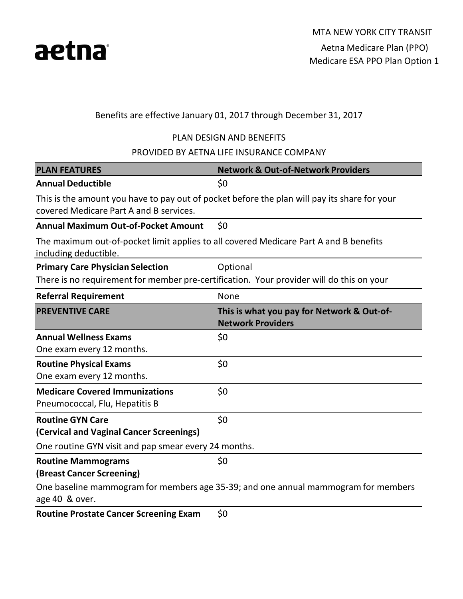

### Benefits are effective January 01, 2017 through December 31, 2017

#### PLAN DESIGN AND BENEFITS

PROVIDED BY AETNA LIFE INSURANCE COMPANY

| <b>PLAN FEATURES</b>                                                                                           | <b>Network &amp; Out-of-Network Providers</b>                                                |  |  |  |
|----------------------------------------------------------------------------------------------------------------|----------------------------------------------------------------------------------------------|--|--|--|
| <b>Annual Deductible</b>                                                                                       | \$0                                                                                          |  |  |  |
| covered Medicare Part A and B services.                                                                        | This is the amount you have to pay out of pocket before the plan will pay its share for your |  |  |  |
| <b>Annual Maximum Out-of-Pocket Amount</b>                                                                     | \$0                                                                                          |  |  |  |
| The maximum out-of-pocket limit applies to all covered Medicare Part A and B benefits<br>including deductible. |                                                                                              |  |  |  |
| <b>Primary Care Physician Selection</b>                                                                        | Optional                                                                                     |  |  |  |
| There is no requirement for member pre-certification. Your provider will do this on your                       |                                                                                              |  |  |  |
| <b>Referral Requirement</b>                                                                                    | None                                                                                         |  |  |  |
| <b>PREVENTIVE CARE</b>                                                                                         | This is what you pay for Network & Out-of-<br><b>Network Providers</b>                       |  |  |  |
| <b>Annual Wellness Exams</b>                                                                                   | \$0                                                                                          |  |  |  |
| One exam every 12 months.                                                                                      |                                                                                              |  |  |  |
| <b>Routine Physical Exams</b>                                                                                  | \$0                                                                                          |  |  |  |
| One exam every 12 months.                                                                                      |                                                                                              |  |  |  |
| <b>Medicare Covered Immunizations</b><br>Pneumococcal, Flu, Hepatitis B                                        | \$0                                                                                          |  |  |  |
| <b>Routine GYN Care</b>                                                                                        | \$0                                                                                          |  |  |  |
| (Cervical and Vaginal Cancer Screenings)                                                                       |                                                                                              |  |  |  |
| One routine GYN visit and pap smear every 24 months.                                                           |                                                                                              |  |  |  |
| <b>Routine Mammograms</b>                                                                                      | \$0                                                                                          |  |  |  |
| (Breast Cancer Screening)                                                                                      |                                                                                              |  |  |  |
|                                                                                                                | One baseline mammogram for members age 35-39; and one annual mammogram for members           |  |  |  |
| age 40 & over.                                                                                                 |                                                                                              |  |  |  |
| <b>Routine Prostate Cancer Screening Exam</b>                                                                  | \$0                                                                                          |  |  |  |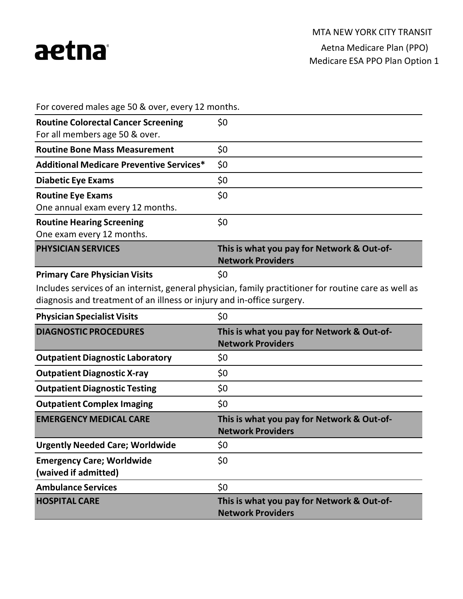

For covered males age 50 & over, every 12 months.

| <b>Routine Colorectal Cancer Screening</b><br>For all members age 50 & over. | \$0                                                                    |
|------------------------------------------------------------------------------|------------------------------------------------------------------------|
| <b>Routine Bone Mass Measurement</b>                                         | \$0                                                                    |
| <b>Additional Medicare Preventive Services*</b>                              | \$0                                                                    |
| <b>Diabetic Eye Exams</b>                                                    | \$0                                                                    |
| <b>Routine Eye Exams</b><br>One annual exam every 12 months.                 | \$0                                                                    |
| <b>Routine Hearing Screening</b><br>One exam every 12 months.                | \$0                                                                    |
| <b>PHYSICIAN SERVICES</b>                                                    | This is what you pay for Network & Out-of-<br><b>Network Providers</b> |
| <b>Primary Care Physician Visits</b>                                         | \$0                                                                    |

Includes services of an internist, general physician, family practitioner for routine care as well as diagnosis and treatment of an illness or injury and in-office surgery.

| <b>Physician Specialist Visits</b>                       | \$0                                                                    |  |  |
|----------------------------------------------------------|------------------------------------------------------------------------|--|--|
| <b>DIAGNOSTIC PROCEDURES</b>                             | This is what you pay for Network & Out-of-<br><b>Network Providers</b> |  |  |
| <b>Outpatient Diagnostic Laboratory</b>                  | \$0                                                                    |  |  |
| <b>Outpatient Diagnostic X-ray</b>                       | \$0                                                                    |  |  |
| <b>Outpatient Diagnostic Testing</b>                     | \$0                                                                    |  |  |
| <b>Outpatient Complex Imaging</b>                        | \$0                                                                    |  |  |
|                                                          |                                                                        |  |  |
| <b>EMERGENCY MEDICAL CARE</b>                            | This is what you pay for Network & Out-of-<br><b>Network Providers</b> |  |  |
| <b>Urgently Needed Care; Worldwide</b>                   | \$0                                                                    |  |  |
| <b>Emergency Care; Worldwide</b><br>(waived if admitted) | \$0                                                                    |  |  |
| <b>Ambulance Services</b>                                | \$0                                                                    |  |  |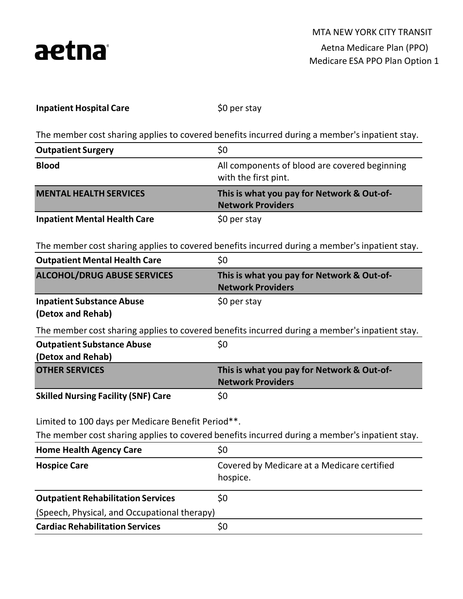

\$0 per stay

The member cost sharing applies to covered benefits incurred during a member's inpatient stay.

| <b>Outpatient Surgery</b>                              | \$0                                                                                            |  |  |
|--------------------------------------------------------|------------------------------------------------------------------------------------------------|--|--|
| <b>Blood</b>                                           | All components of blood are covered beginning<br>with the first pint.                          |  |  |
| <b>MENTAL HEALTH SERVICES</b>                          | This is what you pay for Network & Out-of-<br><b>Network Providers</b>                         |  |  |
| <b>Inpatient Mental Health Care</b>                    | \$0 per stay                                                                                   |  |  |
|                                                        | The member cost sharing applies to covered benefits incurred during a member's inpatient stay. |  |  |
| <b>Outpatient Mental Health Care</b>                   | \$0                                                                                            |  |  |
| <b>ALCOHOL/DRUG ABUSE SERVICES</b>                     | This is what you pay for Network & Out-of-<br><b>Network Providers</b>                         |  |  |
| <b>Inpatient Substance Abuse</b><br>(Detox and Rehab)  | \$0 per stay                                                                                   |  |  |
|                                                        | The member cost sharing applies to covered benefits incurred during a member's inpatient stay. |  |  |
| <b>Outpatient Substance Abuse</b><br>(Detox and Rehab) | \$0                                                                                            |  |  |
| <b>OTHER SERVICES</b>                                  | This is what you pay for Network & Out-of-<br><b>Network Providers</b>                         |  |  |
| <b>Skilled Nursing Facility (SNF) Care</b>             | \$0                                                                                            |  |  |
| Limited to 100 days per Medicare Benefit Period**.     |                                                                                                |  |  |
|                                                        | The member cost sharing applies to covered benefits incurred during a member's inpatient stay. |  |  |
| <b>Home Health Agency Care</b>                         | \$0                                                                                            |  |  |
| <b>Hospice Care</b>                                    | Covered by Medicare at a Medicare certified<br>hospice.                                        |  |  |
| <b>Outpatient Rehabilitation Services</b>              | \$0                                                                                            |  |  |
| (Speech, Physical, and Occupational therapy)           |                                                                                                |  |  |
| <b>Cardiac Rehabilitation Services</b>                 | \$0                                                                                            |  |  |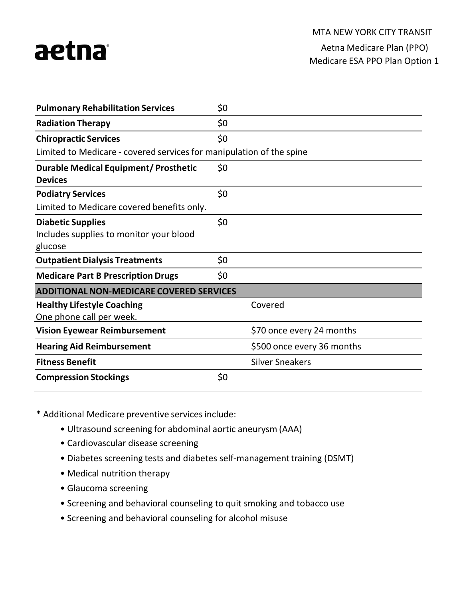

Medicare ESA PPO Plan Option 1

| <b>Pulmonary Rehabilitation Services</b>                             | \$0 |                            |  |  |
|----------------------------------------------------------------------|-----|----------------------------|--|--|
| <b>Radiation Therapy</b>                                             | \$0 |                            |  |  |
| <b>Chiropractic Services</b>                                         | \$0 |                            |  |  |
| Limited to Medicare - covered services for manipulation of the spine |     |                            |  |  |
| <b>Durable Medical Equipment/ Prosthetic</b>                         | \$0 |                            |  |  |
| <b>Devices</b>                                                       |     |                            |  |  |
| <b>Podiatry Services</b>                                             | \$0 |                            |  |  |
| Limited to Medicare covered benefits only.                           |     |                            |  |  |
| <b>Diabetic Supplies</b>                                             | \$0 |                            |  |  |
| Includes supplies to monitor your blood                              |     |                            |  |  |
| glucose                                                              |     |                            |  |  |
| <b>Outpatient Dialysis Treatments</b>                                | \$0 |                            |  |  |
| <b>Medicare Part B Prescription Drugs</b>                            | \$0 |                            |  |  |
| <b>ADDITIONAL NON-MEDICARE COVERED SERVICES</b>                      |     |                            |  |  |
| <b>Healthy Lifestyle Coaching</b>                                    |     | Covered                    |  |  |
| One phone call per week.                                             |     |                            |  |  |
| <b>Vision Eyewear Reimbursement</b>                                  |     | \$70 once every 24 months  |  |  |
| <b>Hearing Aid Reimbursement</b>                                     |     | \$500 once every 36 months |  |  |
| <b>Fitness Benefit</b>                                               |     | <b>Silver Sneakers</b>     |  |  |
| <b>Compression Stockings</b>                                         | \$0 |                            |  |  |

\* Additional Medicare preventive servicesinclude:

- Ultrasound screening for abdominal aortic aneurysm (AAA)
- Cardiovascular disease screening
- Diabetes screening tests and diabetes self-management training (DSMT)
- Medical nutrition therapy
- Glaucoma screening
- Screening and behavioral counseling to quit smoking and tobacco use
- Screening and behavioral counseling for alcohol misuse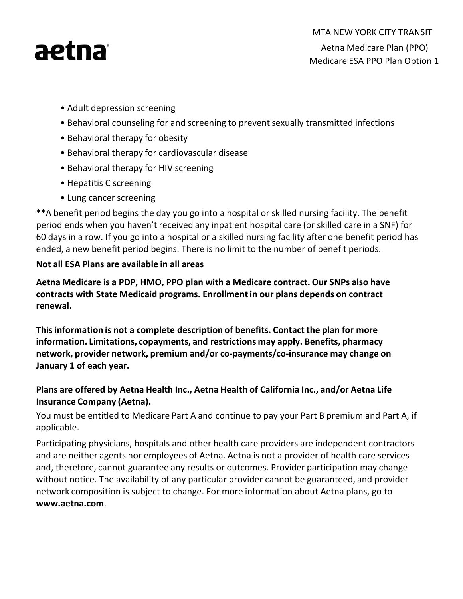

- Adult depression screening
- Behavioral counseling for and screening to prevent sexually transmitted infections
- Behavioral therapy for obesity
- Behavioral therapy for cardiovascular disease
- Behavioral therapy for HIV screening
- Hepatitis C screening
- Lung cancer screening

\*\*A benefit period begins the day you go into a hospital or skilled nursing facility. The benefit period ends when you haven't received any inpatient hospital care (or skilled care in a SNF) for 60 days in a row. If you go into a hospital or a skilled nursing facility after one benefit period has ended, a new benefit period begins. There is no limit to the number of benefit periods.

## **Not all ESA Plans are available in all areas**

**Aetna Medicare is a PDP, HMO, PPO plan with a Medicare contract. Our SNPs also have contracts with State Medicaid programs. Enrollmentin our plans depends on contract renewal.**

**This information is not a complete description of benefits. Contact the plan for more information. Limitations, copayments, and restrictions may apply. Benefits, pharmacy network, provider network, premium and/or co-payments/co-insurance may change on January 1 of each year.**

# **Plans are offered by Aetna Health Inc., Aetna Health of California Inc., and/or Aetna Life Insurance Company (Aetna).**

You must be entitled to Medicare Part A and continue to pay your Part B premium and Part A, if applicable.

Participating physicians, hospitals and other health care providers are independent contractors and are neither agents nor employees of Aetna. Aetna is not a provider of health care services and, therefore, cannot guarantee any results or outcomes. Provider participation may change without notice. The availability of any particular provider cannot be guaranteed, and provider network composition is subject to change. For more information about Aetna plans, go to **[www.aetna.com](http://www.aetna.com/)**.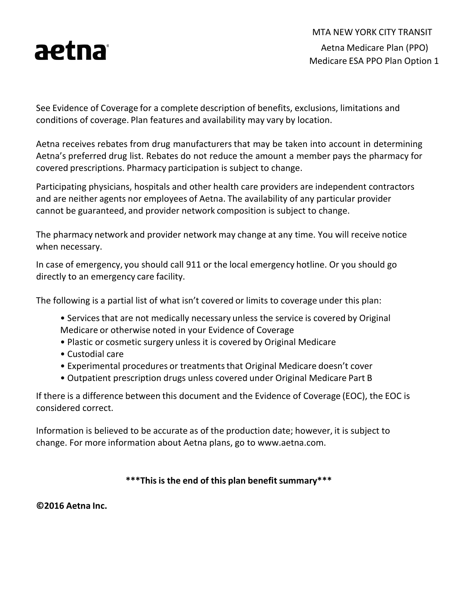

MTA NEW YORK CITY TRANSIT Aetna Medicare Plan (PPO) Medicare ESA PPO Plan Option 1

See Evidence of Coverage for a complete description of benefits, exclusions, limitations and conditions of coverage. Plan features and availability may vary by location.

Aetna receives rebates from drug manufacturers that may be taken into account in determining Aetna's preferred drug list. Rebates do not reduce the amount a member pays the pharmacy for covered prescriptions. Pharmacy participation is subject to change.

Participating physicians, hospitals and other health care providers are independent contractors and are neither agents nor employees of Aetna. The availability of any particular provider cannot be guaranteed, and provider network composition is subject to change.

The pharmacy network and provider network may change at any time. You will receive notice when necessary.

In case of emergency, you should call 911 or the local emergency hotline. Or you should go directly to an emergency care facility.

The following is a partial list of what isn't covered or limits to coverage under this plan:

- Services that are not medically necessary unless the service is covered by Original Medicare or otherwise noted in your Evidence of Coverage
- Plastic or cosmetic surgery unless it is covered by Original Medicare
- Custodial care
- Experimental procedures or treatments that Original Medicare doesn't cover
- Outpatient prescription drugs unless covered under Original Medicare Part B

If there is a difference between this document and the Evidence of Coverage (EOC), the EOC is considered correct.

Information is believed to be accurate as of the production date; however, it is subject to change. For more information about Aetna [plans, go to www.aetna.com.](http://www.aetna.com/)

#### **\*\*\*Thisis the end of this plan benefitsummary\*\*\***

**©2016 Aetna Inc.**